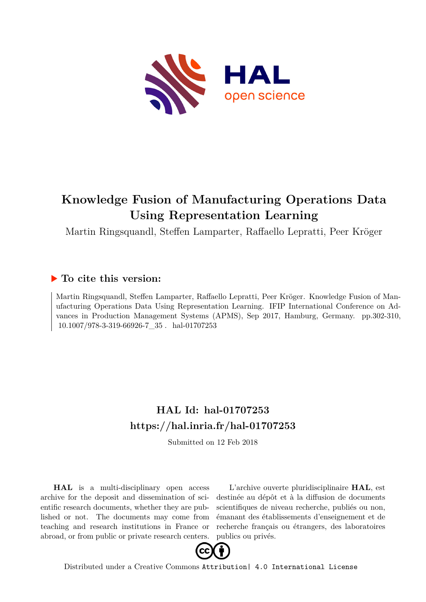

# **Knowledge Fusion of Manufacturing Operations Data Using Representation Learning**

Martin Ringsquandl, Steffen Lamparter, Raffaello Lepratti, Peer Kröger

## **To cite this version:**

Martin Ringsquandl, Steffen Lamparter, Raffaello Lepratti, Peer Kröger. Knowledge Fusion of Manufacturing Operations Data Using Representation Learning. IFIP International Conference on Advances in Production Management Systems (APMS), Sep 2017, Hamburg, Germany. pp.302-310, 10.1007/978-3-319-66926-7\_35 . hal-01707253

## **HAL Id: hal-01707253 <https://hal.inria.fr/hal-01707253>**

Submitted on 12 Feb 2018

**HAL** is a multi-disciplinary open access archive for the deposit and dissemination of scientific research documents, whether they are published or not. The documents may come from teaching and research institutions in France or abroad, or from public or private research centers.

L'archive ouverte pluridisciplinaire **HAL**, est destinée au dépôt et à la diffusion de documents scientifiques de niveau recherche, publiés ou non, émanant des établissements d'enseignement et de recherche français ou étrangers, des laboratoires publics ou privés.



Distributed under a Creative Commons [Attribution| 4.0 International License](http://creativecommons.org/licenses/by/4.0/)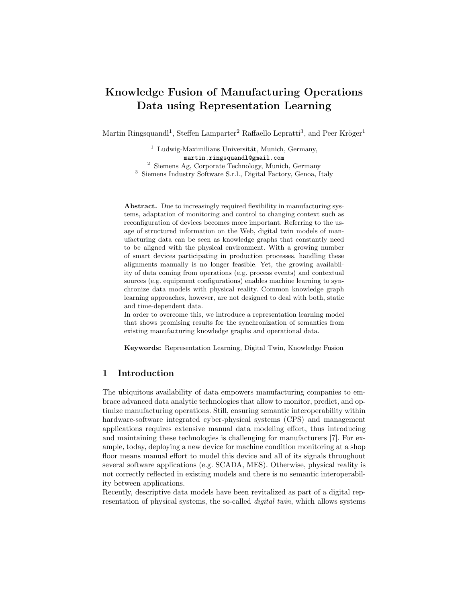## Knowledge Fusion of Manufacturing Operations Data using Representation Learning

Martin Ringsquandl<sup>1</sup>, Steffen Lamparter<sup>2</sup> Raffaello Lepratti<sup>3</sup>, and Peer Kröger<sup>1</sup>

 Ludwig-Maximilians Universität, Munich, Germany, martin.ringsquandl@gmail.com Siemens Ag, Corporate Technology, Munich, Germany Siemens Industry Software S.r.l., Digital Factory, Genoa, Italy

Abstract. Due to increasingly required flexibility in manufacturing systems, adaptation of monitoring and control to changing context such as reconfiguration of devices becomes more important. Referring to the usage of structured information on the Web, digital twin models of manufacturing data can be seen as knowledge graphs that constantly need to be aligned with the physical environment. With a growing number of smart devices participating in production processes, handling these alignments manually is no longer feasible. Yet, the growing availability of data coming from operations (e.g. process events) and contextual sources (e.g. equipment configurations) enables machine learning to synchronize data models with physical reality. Common knowledge graph learning approaches, however, are not designed to deal with both, static and time-dependent data.

In order to overcome this, we introduce a representation learning model that shows promising results for the synchronization of semantics from existing manufacturing knowledge graphs and operational data.

Keywords: Representation Learning, Digital Twin, Knowledge Fusion

#### 1 Introduction

The ubiquitous availability of data empowers manufacturing companies to embrace advanced data analytic technologies that allow to monitor, predict, and optimize manufacturing operations. Still, ensuring semantic interoperability within hardware-software integrated cyber-physical systems (CPS) and management applications requires extensive manual data modeling effort, thus introducing and maintaining these technologies is challenging for manufacturers [7]. For example, today, deploying a new device for machine condition monitoring at a shop floor means manual effort to model this device and all of its signals throughout several software applications (e.g. SCADA, MES). Otherwise, physical reality is not correctly reflected in existing models and there is no semantic interoperability between applications.

Recently, descriptive data models have been revitalized as part of a digital representation of physical systems, the so-called *digital twin*, which allows systems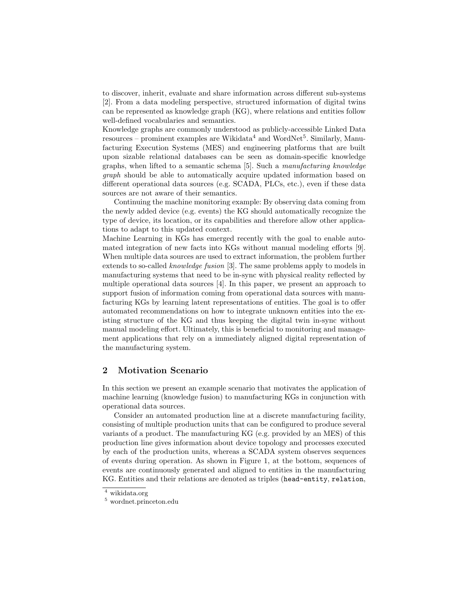to discover, inherit, evaluate and share information across different sub-systems [2]. From a data modeling perspective, structured information of digital twins can be represented as knowledge graph (KG), where relations and entities follow well-defined vocabularies and semantics.

Knowledge graphs are commonly understood as publicly-accessible Linked Data resources – prominent examples are Wikidata<sup>4</sup> and WordNet<sup>5</sup>. Similarly, Manufacturing Execution Systems (MES) and engineering platforms that are built upon sizable relational databases can be seen as domain-specific knowledge graphs, when lifted to a semantic schema [5]. Such a manufacturing knowledge graph should be able to automatically acquire updated information based on different operational data sources (e.g. SCADA, PLCs, etc.), even if these data sources are not aware of their semantics.

Continuing the machine monitoring example: By observing data coming from the newly added device (e.g. events) the KG should automatically recognize the type of device, its location, or its capabilities and therefore allow other applications to adapt to this updated context.

Machine Learning in KGs has emerged recently with the goal to enable automated integration of new facts into KGs without manual modeling efforts [9]. When multiple data sources are used to extract information, the problem further extends to so-called knowledge fusion [3]. The same problems apply to models in manufacturing systems that need to be in-sync with physical reality reflected by multiple operational data sources [4]. In this paper, we present an approach to support fusion of information coming from operational data sources with manufacturing KGs by learning latent representations of entities. The goal is to offer automated recommendations on how to integrate unknown entities into the existing structure of the KG and thus keeping the digital twin in-sync without manual modeling effort. Ultimately, this is beneficial to monitoring and management applications that rely on a immediately aligned digital representation of the manufacturing system.

#### 2 Motivation Scenario

In this section we present an example scenario that motivates the application of machine learning (knowledge fusion) to manufacturing KGs in conjunction with operational data sources.

Consider an automated production line at a discrete manufacturing facility, consisting of multiple production units that can be configured to produce several variants of a product. The manufacturing KG (e.g. provided by an MES) of this production line gives information about device topology and processes executed by each of the production units, whereas a SCADA system observes sequences of events during operation. As shown in Figure 1, at the bottom, sequences of events are continuously generated and aligned to entities in the manufacturing KG. Entities and their relations are denoted as triples (head-entity, relation,

 $\sqrt[4]{\frac{4}{\text{wikidata.org}}}$ 

<sup>5</sup> wordnet.princeton.edu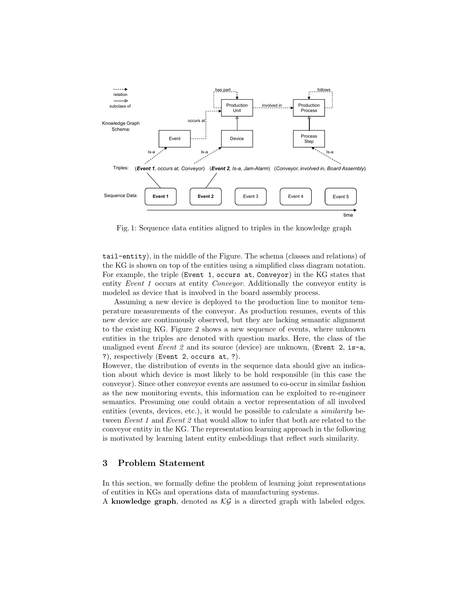

Fig. 1: Sequence data entities aligned to triples in the knowledge graph

tail-entity), in the middle of the Figure. The schema (classes and relations) of the KG is shown on top of the entities using a simplified class diagram notation. For example, the triple (Event 1, occurs at, Conveyor) in the KG states that entity Event 1 occurs at entity Conveyor. Additionally the conveyor entity is modeled as device that is involved in the board assembly process.

Assuming a new device is deployed to the production line to monitor temperature measurements of the conveyor. As production resumes, events of this new device are continuously observed, but they are lacking semantic alignment to the existing KG. Figure 2 shows a new sequence of events, where unknown entities in the triples are denoted with question marks. Here, the class of the unaligned event Event 2 and its source (device) are unknown, (Event 2, is-a, ?), respectively (Event 2, occurs at, ?).

However, the distribution of events in the sequence data should give an indication about which device is most likely to be hold responsible (in this case the conveyor). Since other conveyor events are assumed to co-occur in similar fashion as the new monitoring events, this information can be exploited to re-engineer semantics. Presuming one could obtain a vector representation of all involved entities (events, devices, etc.), it would be possible to calculate a *similarity* between Event 1 and Event 2 that would allow to infer that both are related to the conveyor entity in the KG. The representation learning approach in the following is motivated by learning latent entity embeddings that reflect such similarity.

#### 3 Problem Statement

In this section, we formally define the problem of learning joint representations of entities in KGs and operations data of manufacturing systems.

A knowledge graph, denoted as  $\mathcal{KG}$  is a directed graph with labeled edges.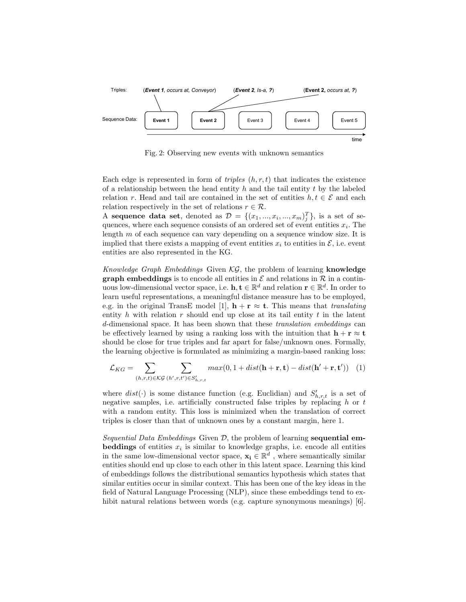

Fig. 2: Observing new events with unknown semantics

Each edge is represented in form of *triples*  $(h, r, t)$  that indicates the existence of a relationship between the head entity h and the tail entity t by the labeled relation r. Head and tail are contained in the set of entities  $h, t \in \mathcal{E}$  and each relation respectively in the set of relations  $r \in \mathcal{R}$ .

A sequence data set, denoted as  $\mathcal{D} = \{(x_1, ..., x_i, ..., x_m)\}$ , is a set of sequences, where each sequence consists of an ordered set of event entities  $x_i$ . The length  $m$  of each sequence can vary depending on a sequence window size. It is implied that there exists a mapping of event entities  $x_i$  to entities in  $\mathcal{E}$ , i.e. event entities are also represented in the KG.

Knowledge Graph Embeddings Given  $\mathcal{KG}$ , the problem of learning knowledge **graph embeddings** is to encode all entities in  $\mathcal E$  and relations in  $\mathcal R$  in a continuous low-dimensional vector space, i.e.  $\mathbf{h}, \mathbf{t} \in \mathbb{R}^d$  and relation  $\mathbf{r} \in \mathbb{R}^d$ . In order to learn useful representations, a meaningful distance measure has to be employed, e.g. in the original TransE model [1],  $\mathbf{h} + \mathbf{r} \approx \mathbf{t}$ . This means that translating entity h with relation r should end up close at its tail entity t in the latent d-dimensional space. It has been shown that these translation embeddings can be effectively learned by using a ranking loss with the intuition that  $\mathbf{h} + \mathbf{r} \approx \mathbf{t}$ should be close for true triples and far apart for false/unknown ones. Formally, the learning objective is formulated as minimizing a margin-based ranking loss:

$$
\mathcal{L}_{KG} = \sum_{(h,r,t) \in \mathcal{KG}} \sum_{(h',r,t') \in S'_{h,r,t}} max(0, 1 + dist(\mathbf{h} + \mathbf{r}, \mathbf{t}) - dist(\mathbf{h}' + \mathbf{r}, \mathbf{t}')) \tag{1}
$$

where  $dist(\cdot)$  is some distance function (e.g. Euclidian) and  $S'_{h,r,t}$  is a set of negative samples, i.e. artificially constructed false triples by replacing  $h$  or  $t$ with a random entity. This loss is minimized when the translation of correct triples is closer than that of unknown ones by a constant margin, here 1.

Sequential Data Embeddings Given  $D$ , the problem of learning sequential embeddings of entities  $x_i$  is similar to knowledge graphs, i.e. encode all entities in the same low-dimensional vector space,  $\mathbf{x_i} \in \mathbb{R}^d$ , where semantically similar entities should end up close to each other in this latent space. Learning this kind of embeddings follows the distributional semantics hypothesis which states that similar entities occur in similar context. This has been one of the key ideas in the field of Natural Language Processing (NLP), since these embeddings tend to exhibit natural relations between words (e.g. capture synonymous meanings) [6].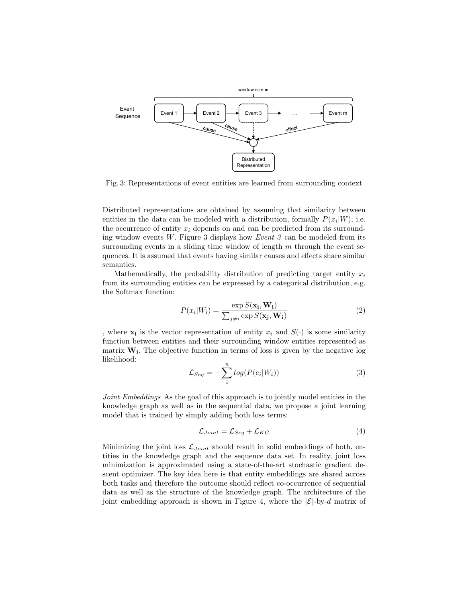

Fig. 3: Representations of event entities are learned from surrounding context

Distributed representations are obtained by assuming that similarity between entities in the data can be modeled with a distribution, formally  $P(x_i|W)$ , i.e. the occurrence of entity  $x_i$  depends on and can be predicted from its surrounding window events  $W$ . Figure 3 displays how *Event 3* can be modeled from its surrounding events in a sliding time window of length  $m$  through the event sequences. It is assumed that events having similar causes and effects share similar semantics.

Mathematically, the probability distribution of predicting target entity  $x_i$ from its surrounding entities can be expressed by a categorical distribution, e.g. the Softmax function:

$$
P(x_i|W_i) = \frac{\exp S(\mathbf{x_i}, \mathbf{W_i})}{\sum_{j \neq i} \exp S(\mathbf{x_j}, \mathbf{W_i})}
$$
(2)

, where  $\mathbf{x}_i$  is the vector representation of entity  $x_i$  and  $S(\cdot)$  is some similarity function between entities and their surrounding window entities represented as matrix  $W_i$ . The objective function in terms of loss is given by the negative log likelihood:

$$
\mathcal{L}_{Seq} = -\sum_{i}^{n} log(P(e_i|W_i))
$$
\n(3)

Joint Embeddings As the goal of this approach is to jointly model entities in the knowledge graph as well as in the sequential data, we propose a joint learning model that is trained by simply adding both loss terms:

$$
\mathcal{L}_{Joint} = \mathcal{L}_{Seq} + \mathcal{L}_{KG} \tag{4}
$$

Minimizing the joint loss  $\mathcal{L}_{Joint}$  should result in solid embeddings of both, entities in the knowledge graph and the sequence data set. In reality, joint loss minimization is approximated using a state-of-the-art stochastic gradient descent optimizer. The key idea here is that entity embeddings are shared across both tasks and therefore the outcome should reflect co-occurrence of sequential data as well as the structure of the knowledge graph. The architecture of the joint embedding approach is shown in Figure 4, where the  $|\mathcal{E}|\text{-by-}d$  matrix of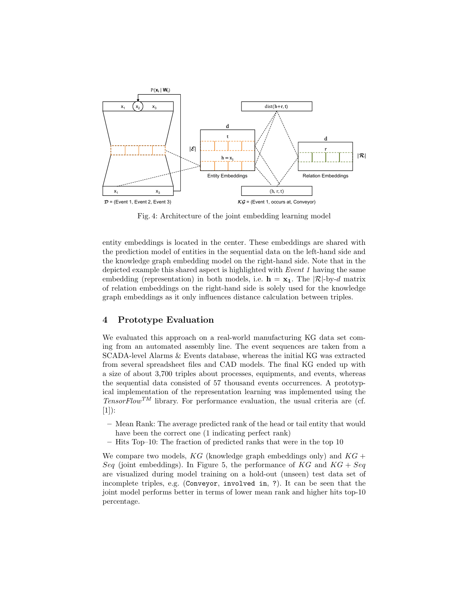

Fig. 4: Architecture of the joint embedding learning model

entity embeddings is located in the center. These embeddings are shared with the prediction model of entities in the sequential data on the left-hand side and the knowledge graph embedding model on the right-hand side. Note that in the depicted example this shared aspect is highlighted with Event 1 having the same embedding (representation) in both models, i.e.  $\mathbf{h} = \mathbf{x}_1$ . The  $|\mathcal{R}|\text{-by-}d$  matrix of relation embeddings on the right-hand side is solely used for the knowledge graph embeddings as it only influences distance calculation between triples.

#### 4 Prototype Evaluation

We evaluated this approach on a real-world manufacturing KG data set coming from an automated assembly line. The event sequences are taken from a SCADA-level Alarms & Events database, whereas the initial KG was extracted from several spreadsheet files and CAD models. The final KG ended up with a size of about 3,700 triples about processes, equipments, and events, whereas the sequential data consisted of 57 thousand events occurrences. A prototypical implementation of the representation learning was implemented using the  $TensorFlow^{TM}$  library. For performance evaluation, the usual criteria are (cf.  $[1]$ :

- Mean Rank: The average predicted rank of the head or tail entity that would have been the correct one (1 indicating perfect rank)
- Hits Top–10: The fraction of predicted ranks that were in the top 10

We compare two models,  $KG$  (knowledge graph embeddings only) and  $KG +$ Seq (joint embeddings). In Figure 5, the performance of  $KG$  and  $KG + Seq$ are visualized during model training on a hold-out (unseen) test data set of incomplete triples, e.g. (Conveyor, involved in, ?). It can be seen that the joint model performs better in terms of lower mean rank and higher hits top-10 percentage.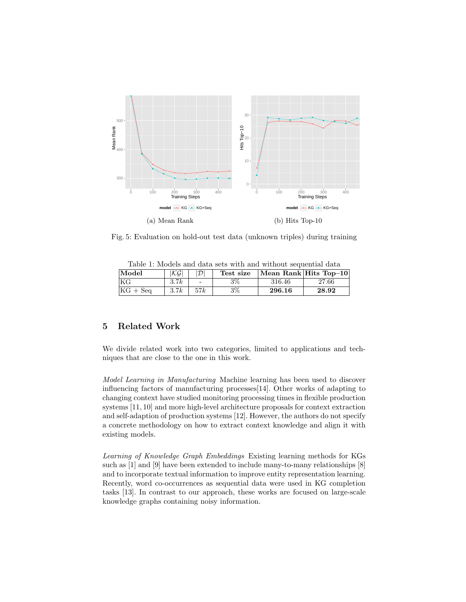

Fig. 5: Evaluation on hold-out test data (unknown triples) during training

| Model      | $ \mathcal{KG} $ | $ \mathcal{D} $ | Test size |        | Mean Rank Hits Top-10 |
|------------|------------------|-----------------|-----------|--------|-----------------------|
| KG         | 3.7k             | $\sim$          | $3\%$     | 316.46 | 27.66                 |
| $KG + Seq$ | 3.7k             | 57k             | $3\%$     | 296.16 | 28.92                 |

Table 1: Models and data sets with and without sequential data

### 5 Related Work

We divide related work into two categories, limited to applications and techniques that are close to the one in this work.

Model Learning in Manufacturing Machine learning has been used to discover influencing factors of manufacturing processes[14]. Other works of adapting to changing context have studied monitoring processing times in flexible production systems [11, 10] and more high-level architecture proposals for context extraction and self-adaption of production systems [12]. However, the authors do not specify a concrete methodology on how to extract context knowledge and align it with existing models.

Learning of Knowledge Graph Embeddings Existing learning methods for KGs such as [1] and [9] have been extended to include many-to-many relationships [8] and to incorporate textual information to improve entity representation learning. Recently, word co-occurrences as sequential data were used in KG completion tasks [13]. In contrast to our approach, these works are focused on large-scale knowledge graphs containing noisy information.